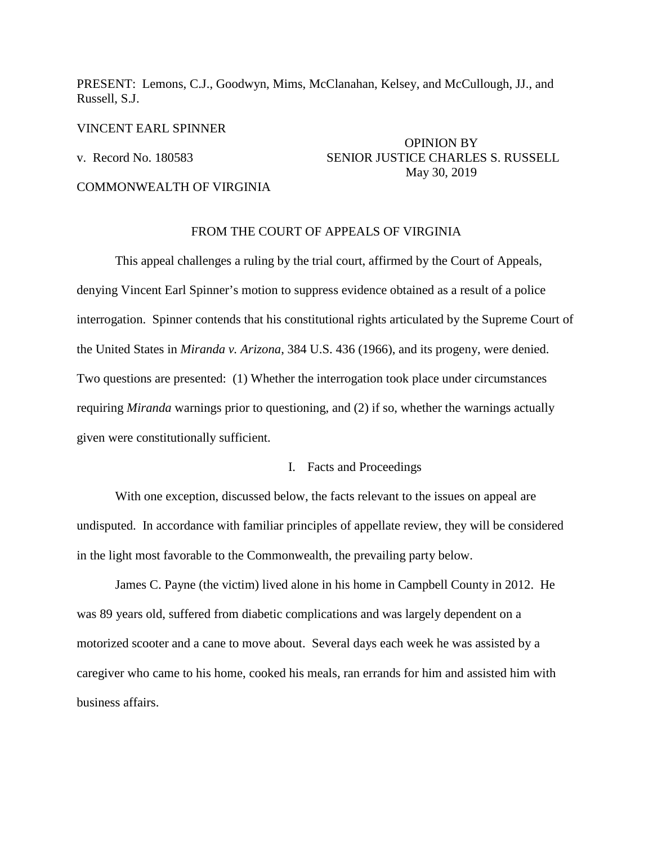PRESENT: Lemons, C.J., Goodwyn, Mims, McClanahan, Kelsey, and McCullough, JJ., and Russell, S.J.

VINCENT EARL SPINNER

# OPINION BY v. Record No. 180583 SENIOR JUSTICE CHARLES S. RUSSELL May 30, 2019

# COMMONWEALTH OF VIRGINIA

# FROM THE COURT OF APPEALS OF VIRGINIA

 This appeal challenges a ruling by the trial court, affirmed by the Court of Appeals, denying Vincent Earl Spinner's motion to suppress evidence obtained as a result of a police interrogation. Spinner contends that his constitutional rights articulated by the Supreme Court of the United States in *Miranda v. Arizona*, 384 U.S. 436 (1966), and its progeny, were denied. Two questions are presented: (1) Whether the interrogation took place under circumstances requiring *Miranda* warnings prior to questioning, and (2) if so, whether the warnings actually given were constitutionally sufficient.

# I. Facts and Proceedings

 With one exception, discussed below, the facts relevant to the issues on appeal are undisputed. In accordance with familiar principles of appellate review, they will be considered in the light most favorable to the Commonwealth, the prevailing party below.

 James C. Payne (the victim) lived alone in his home in Campbell County in 2012. He was 89 years old, suffered from diabetic complications and was largely dependent on a motorized scooter and a cane to move about. Several days each week he was assisted by a caregiver who came to his home, cooked his meals, ran errands for him and assisted him with business affairs.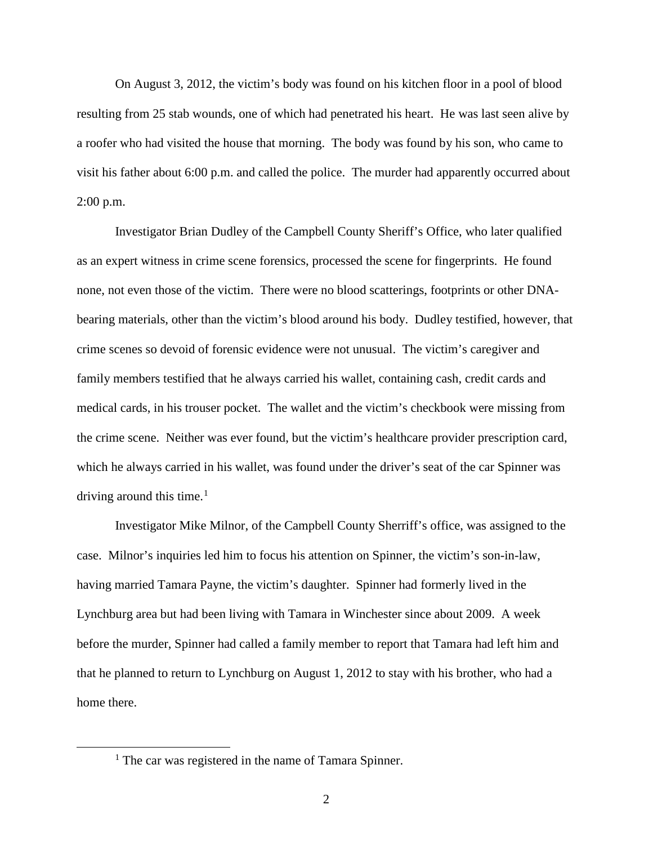On August 3, 2012, the victim's body was found on his kitchen floor in a pool of blood resulting from 25 stab wounds, one of which had penetrated his heart. He was last seen alive by a roofer who had visited the house that morning. The body was found by his son, who came to visit his father about 6:00 p.m. and called the police. The murder had apparently occurred about 2:00 p.m.

 Investigator Brian Dudley of the Campbell County Sheriff's Office, who later qualified as an expert witness in crime scene forensics, processed the scene for fingerprints. He found none, not even those of the victim. There were no blood scatterings, footprints or other DNAbearing materials, other than the victim's blood around his body. Dudley testified, however, that crime scenes so devoid of forensic evidence were not unusual. The victim's caregiver and family members testified that he always carried his wallet, containing cash, credit cards and medical cards, in his trouser pocket. The wallet and the victim's checkbook were missing from the crime scene. Neither was ever found, but the victim's healthcare provider prescription card, which he always carried in his wallet, was found under the driver's seat of the car Spinner was driving around this time.<sup>[1](#page-1-0)</sup>

 Investigator Mike Milnor, of the Campbell County Sherriff's office, was assigned to the case. Milnor's inquiries led him to focus his attention on Spinner, the victim's son-in-law, having married Tamara Payne, the victim's daughter. Spinner had formerly lived in the Lynchburg area but had been living with Tamara in Winchester since about 2009. A week before the murder, Spinner had called a family member to report that Tamara had left him and that he planned to return to Lynchburg on August 1, 2012 to stay with his brother, who had a home there.

<span id="page-1-0"></span><sup>&</sup>lt;sup>1</sup> The car was registered in the name of Tamara Spinner.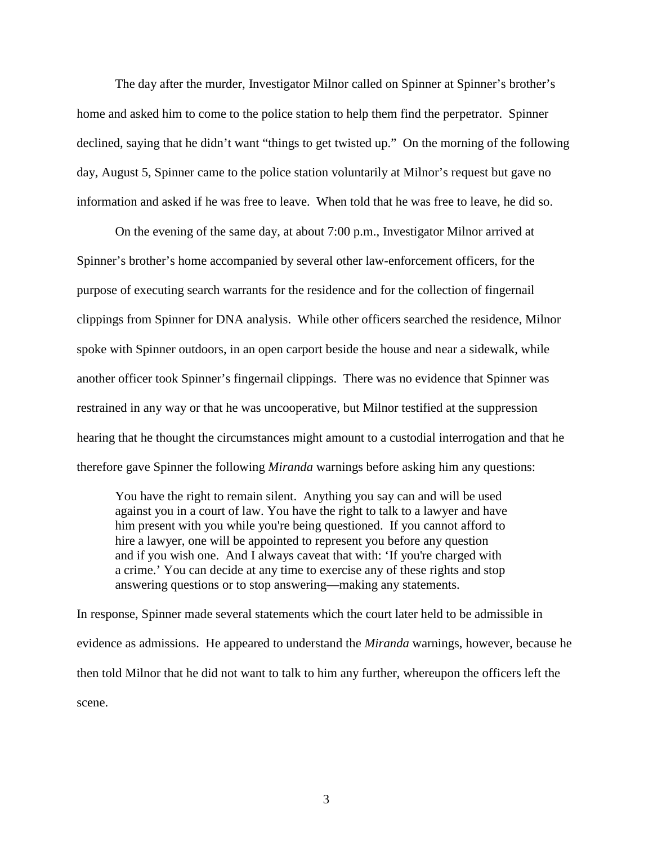The day after the murder, Investigator Milnor called on Spinner at Spinner's brother's home and asked him to come to the police station to help them find the perpetrator. Spinner declined, saying that he didn't want "things to get twisted up." On the morning of the following day, August 5, Spinner came to the police station voluntarily at Milnor's request but gave no information and asked if he was free to leave. When told that he was free to leave, he did so.

 On the evening of the same day, at about 7:00 p.m., Investigator Milnor arrived at Spinner's brother's home accompanied by several other law-enforcement officers, for the purpose of executing search warrants for the residence and for the collection of fingernail clippings from Spinner for DNA analysis. While other officers searched the residence, Milnor spoke with Spinner outdoors, in an open carport beside the house and near a sidewalk, while another officer took Spinner's fingernail clippings. There was no evidence that Spinner was restrained in any way or that he was uncooperative, but Milnor testified at the suppression hearing that he thought the circumstances might amount to a custodial interrogation and that he therefore gave Spinner the following *Miranda* warnings before asking him any questions:

You have the right to remain silent. Anything you say can and will be used against you in a court of law. You have the right to talk to a lawyer and have him present with you while you're being questioned. If you cannot afford to hire a lawyer, one will be appointed to represent you before any question and if you wish one. And I always caveat that with: 'If you're charged with a crime.' You can decide at any time to exercise any of these rights and stop answering questions or to stop answering—making any statements.

In response, Spinner made several statements which the court later held to be admissible in evidence as admissions. He appeared to understand the *Miranda* warnings, however, because he then told Milnor that he did not want to talk to him any further, whereupon the officers left the scene.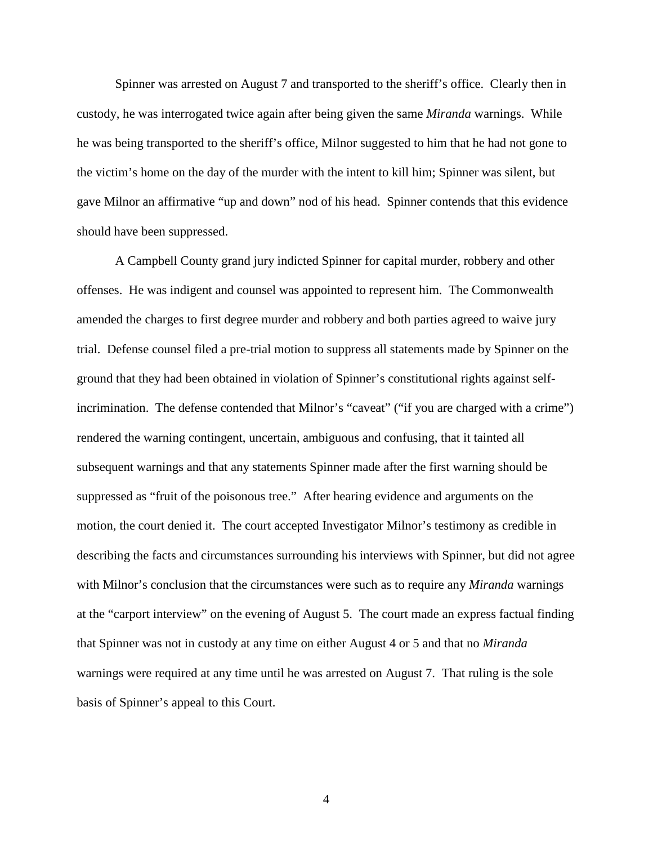Spinner was arrested on August 7 and transported to the sheriff's office. Clearly then in custody, he was interrogated twice again after being given the same *Miranda* warnings. While he was being transported to the sheriff's office, Milnor suggested to him that he had not gone to the victim's home on the day of the murder with the intent to kill him; Spinner was silent, but gave Milnor an affirmative "up and down" nod of his head. Spinner contends that this evidence should have been suppressed.

 A Campbell County grand jury indicted Spinner for capital murder, robbery and other offenses. He was indigent and counsel was appointed to represent him. The Commonwealth amended the charges to first degree murder and robbery and both parties agreed to waive jury trial. Defense counsel filed a pre-trial motion to suppress all statements made by Spinner on the ground that they had been obtained in violation of Spinner's constitutional rights against selfincrimination. The defense contended that Milnor's "caveat" ("if you are charged with a crime") rendered the warning contingent, uncertain, ambiguous and confusing, that it tainted all subsequent warnings and that any statements Spinner made after the first warning should be suppressed as "fruit of the poisonous tree." After hearing evidence and arguments on the motion, the court denied it. The court accepted Investigator Milnor's testimony as credible in describing the facts and circumstances surrounding his interviews with Spinner, but did not agree with Milnor's conclusion that the circumstances were such as to require any *Miranda* warnings at the "carport interview" on the evening of August 5. The court made an express factual finding that Spinner was not in custody at any time on either August 4 or 5 and that no *Miranda* warnings were required at any time until he was arrested on August 7. That ruling is the sole basis of Spinner's appeal to this Court.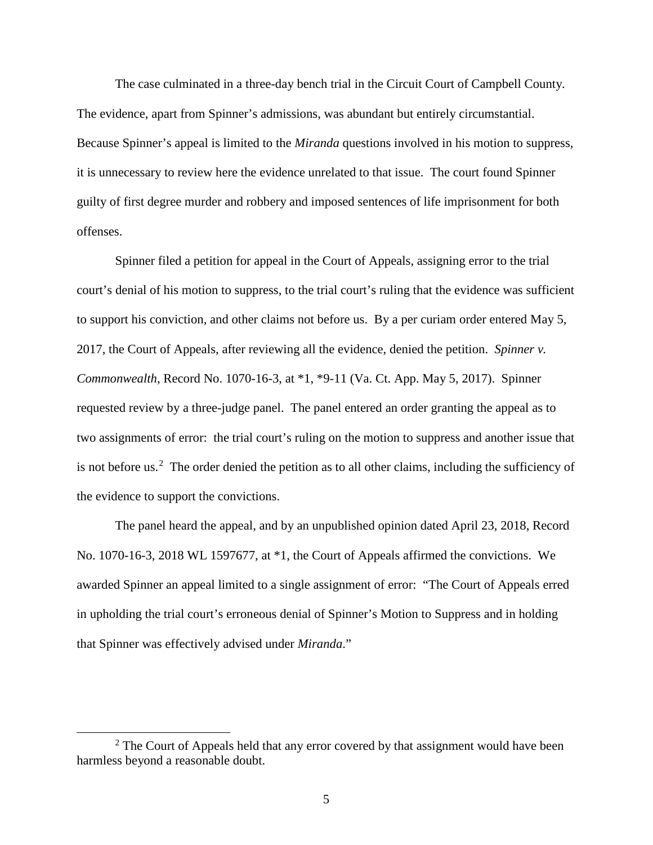The case culminated in a three-day bench trial in the Circuit Court of Campbell County. The evidence, apart from Spinner's admissions, was abundant but entirely circumstantial. Because Spinner's appeal is limited to the *Miranda* questions involved in his motion to suppress, it is unnecessary to review here the evidence unrelated to that issue. The court found Spinner guilty of first degree murder and robbery and imposed sentences of life imprisonment for both offenses.

 Spinner filed a petition for appeal in the Court of Appeals, assigning error to the trial court's denial of his motion to suppress, to the trial court's ruling that the evidence was sufficient to support his conviction, and other claims not before us. By a per curiam order entered May 5, 2017, the Court of Appeals, after reviewing all the evidence, denied the petition. *Spinner v. Commonwealth*, Record No. 1070-16-3, at \*1, \*9-11 (Va. Ct. App. May 5, 2017). Spinner requested review by a three-judge panel. The panel entered an order granting the appeal as to two assignments of error: the trial court's ruling on the motion to suppress and another issue that is not before us.<sup>[2](#page-4-0)</sup> The order denied the petition as to all other claims, including the sufficiency of the evidence to support the convictions.

 The panel heard the appeal, and by an unpublished opinion dated April 23, 2018, Record No. 1070-16-3, 2018 WL 1597677, at \*1, the Court of Appeals affirmed the convictions. We awarded Spinner an appeal limited to a single assignment of error: "The Court of Appeals erred in upholding the trial court's erroneous denial of Spinner's Motion to Suppress and in holding that Spinner was effectively advised under *Miranda*."

<span id="page-4-0"></span> <sup>2</sup>  $2$  The Court of Appeals held that any error covered by that assignment would have been harmless beyond a reasonable doubt.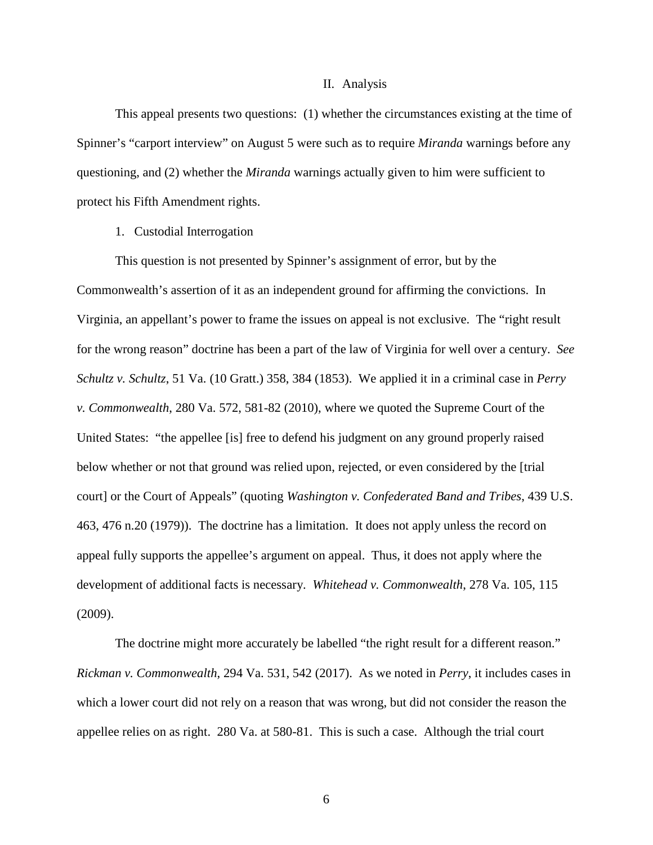#### II. Analysis

This appeal presents two questions: (1) whether the circumstances existing at the time of Spinner's "carport interview" on August 5 were such as to require *Miranda* warnings before any questioning, and (2) whether the *Miranda* warnings actually given to him were sufficient to protect his Fifth Amendment rights.

#### 1. Custodial Interrogation

 This question is not presented by Spinner's assignment of error, but by the Commonwealth's assertion of it as an independent ground for affirming the convictions. In Virginia, an appellant's power to frame the issues on appeal is not exclusive. The "right result for the wrong reason" doctrine has been a part of the law of Virginia for well over a century. *See Schultz v. Schultz*, 51 Va. (10 Gratt.) 358, 384 (1853). We applied it in a criminal case in *Perry v. Commonwealth*, 280 Va. 572, 581-82 (2010), where we quoted the Supreme Court of the United States: "the appellee [is] free to defend his judgment on any ground properly raised below whether or not that ground was relied upon, rejected, or even considered by the [trial court] or the Court of Appeals" (quoting *Washington v. Confederated Band and Tribes*, 439 U.S. 463, 476 n.20 (1979)). The doctrine has a limitation. It does not apply unless the record on appeal fully supports the appellee's argument on appeal. Thus, it does not apply where the development of additional facts is necessary. *Whitehead v. Commonwealth*, 278 Va. 105, 115 (2009).

The doctrine might more accurately be labelled "the right result for a different reason." *Rickman v. Commonwealth*, 294 Va. 531, 542 (2017). As we noted in *Perry*, it includes cases in which a lower court did not rely on a reason that was wrong, but did not consider the reason the appellee relies on as right. 280 Va. at 580-81. This is such a case. Although the trial court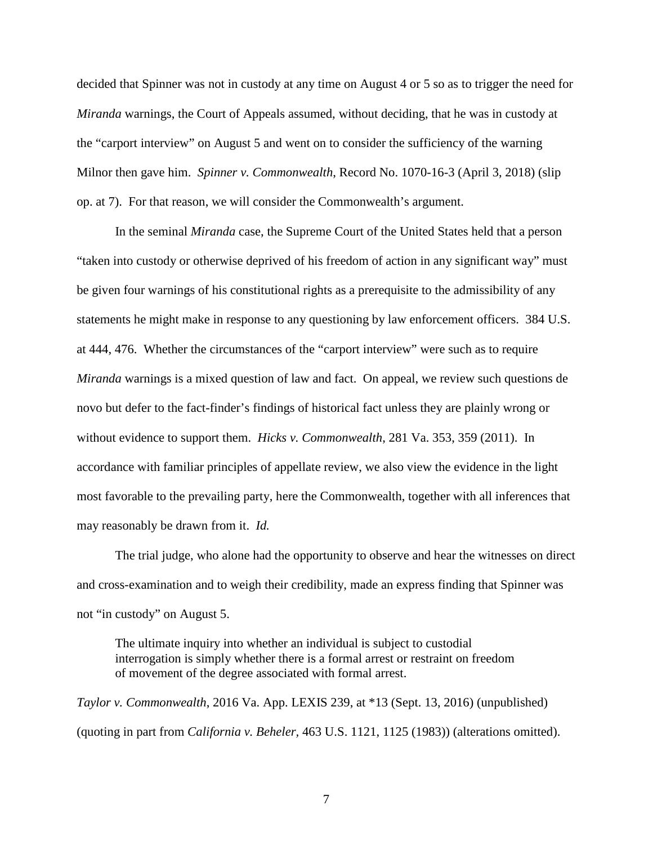decided that Spinner was not in custody at any time on August 4 or 5 so as to trigger the need for *Miranda* warnings, the Court of Appeals assumed, without deciding, that he was in custody at the "carport interview" on August 5 and went on to consider the sufficiency of the warning Milnor then gave him. *Spinner v. Commonwealth*, Record No. 1070-16-3 (April 3, 2018) (slip op. at 7). For that reason, we will consider the Commonwealth's argument.

In the seminal *Miranda* case, the Supreme Court of the United States held that a person "taken into custody or otherwise deprived of his freedom of action in any significant way" must be given four warnings of his constitutional rights as a prerequisite to the admissibility of any statements he might make in response to any questioning by law enforcement officers. 384 U.S. at 444, 476. Whether the circumstances of the "carport interview" were such as to require *Miranda* warnings is a mixed question of law and fact. On appeal, we review such questions de novo but defer to the fact-finder's findings of historical fact unless they are plainly wrong or without evidence to support them. *Hicks v. Commonwealth*, 281 Va. 353, 359 (2011). In accordance with familiar principles of appellate review, we also view the evidence in the light most favorable to the prevailing party, here the Commonwealth, together with all inferences that may reasonably be drawn from it. *Id.*

 The trial judge, who alone had the opportunity to observe and hear the witnesses on direct and cross-examination and to weigh their credibility, made an express finding that Spinner was not "in custody" on August 5.

The ultimate inquiry into whether an individual is subject to custodial interrogation is simply whether there is a formal arrest or restraint on freedom of movement of the degree associated with formal arrest.

*Taylor v. Commonwealth*, 2016 Va. App. LEXIS 239, at \*13 (Sept. 13, 2016) (unpublished) (quoting in part from *California v. Beheler,* 463 U.S. 1121, 1125 (1983)) (alterations omitted).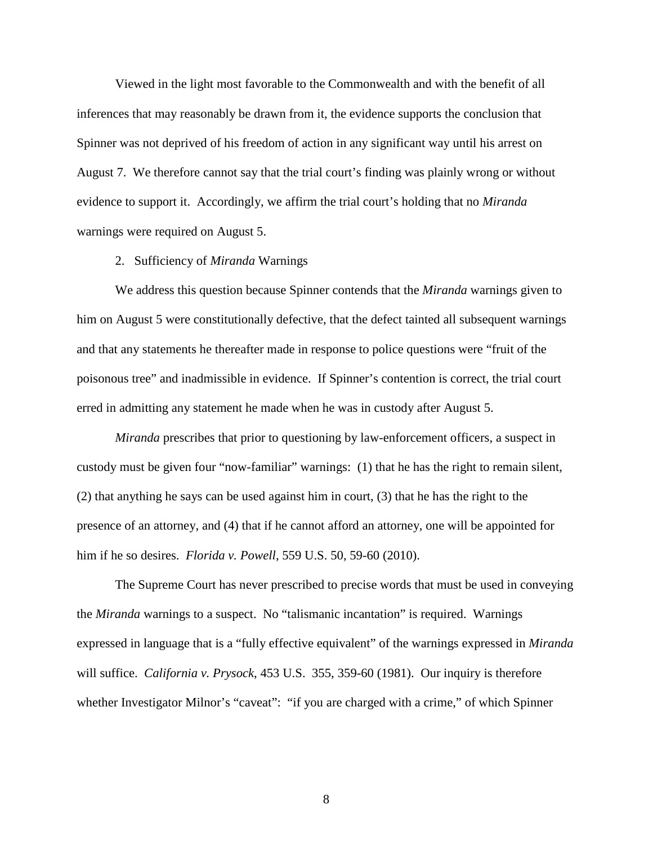Viewed in the light most favorable to the Commonwealth and with the benefit of all inferences that may reasonably be drawn from it, the evidence supports the conclusion that Spinner was not deprived of his freedom of action in any significant way until his arrest on August 7. We therefore cannot say that the trial court's finding was plainly wrong or without evidence to support it. Accordingly, we affirm the trial court's holding that no *Miranda* warnings were required on August 5.

# 2. Sufficiency of *Miranda* Warnings

 We address this question because Spinner contends that the *Miranda* warnings given to him on August 5 were constitutionally defective, that the defect tainted all subsequent warnings and that any statements he thereafter made in response to police questions were "fruit of the poisonous tree" and inadmissible in evidence. If Spinner's contention is correct, the trial court erred in admitting any statement he made when he was in custody after August 5.

*Miranda* prescribes that prior to questioning by law-enforcement officers, a suspect in custody must be given four "now-familiar" warnings: (1) that he has the right to remain silent, (2) that anything he says can be used against him in court, (3) that he has the right to the presence of an attorney, and (4) that if he cannot afford an attorney, one will be appointed for him if he so desires. *Florida v. Powell*, 559 U.S. 50, 59-60 (2010).

 The Supreme Court has never prescribed to precise words that must be used in conveying the *Miranda* warnings to a suspect. No "talismanic incantation" is required. Warnings expressed in language that is a "fully effective equivalent" of the warnings expressed in *Miranda* will suffice. *California v. Prysock*, 453 U.S. 355, 359-60 (1981). Our inquiry is therefore whether Investigator Milnor's "caveat": "if you are charged with a crime," of which Spinner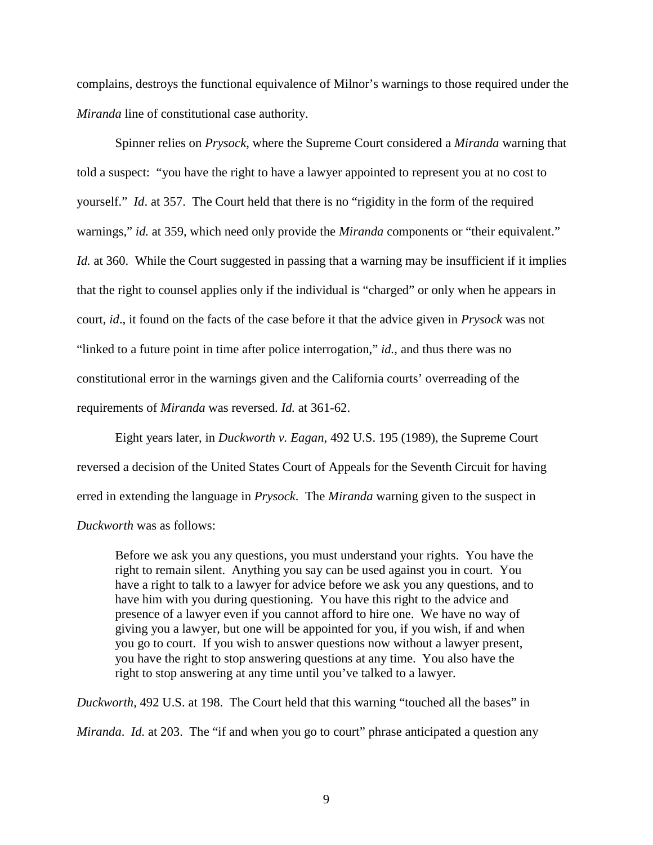complains, destroys the functional equivalence of Milnor's warnings to those required under the *Miranda* line of constitutional case authority.

 Spinner relies on *Prysock*, where the Supreme Court considered a *Miranda* warning that told a suspect: "you have the right to have a lawyer appointed to represent you at no cost to yourself." *Id*. at 357. The Court held that there is no "rigidity in the form of the required warnings," *id.* at 359, which need only provide the *Miranda* components or "their equivalent." *Id.* at 360. While the Court suggested in passing that a warning may be insufficient if it implies that the right to counsel applies only if the individual is "charged" or only when he appears in court, *id*., it found on the facts of the case before it that the advice given in *Prysock* was not "linked to a future point in time after police interrogation," *id.*, and thus there was no constitutional error in the warnings given and the California courts' overreading of the requirements of *Miranda* was reversed. *Id.* at 361-62.

Eight years later, in *Duckworth v. Eagan*, 492 U.S. 195 (1989), the Supreme Court reversed a decision of the United States Court of Appeals for the Seventh Circuit for having erred in extending the language in *Prysock*. The *Miranda* warning given to the suspect in *Duckworth* was as follows:

Before we ask you any questions, you must understand your rights. You have the right to remain silent. Anything you say can be used against you in court. You have a right to talk to a lawyer for advice before we ask you any questions, and to have him with you during questioning. You have this right to the advice and presence of a lawyer even if you cannot afford to hire one. We have no way of giving you a lawyer, but one will be appointed for you, if you wish, if and when you go to court. If you wish to answer questions now without a lawyer present, you have the right to stop answering questions at any time. You also have the right to stop answering at any time until you've talked to a lawyer.

*Duckworth*, 492 U.S. at 198. The Court held that this warning "touched all the bases" in *Miranda*. *Id.* at 203. The "if and when you go to court" phrase anticipated a question any